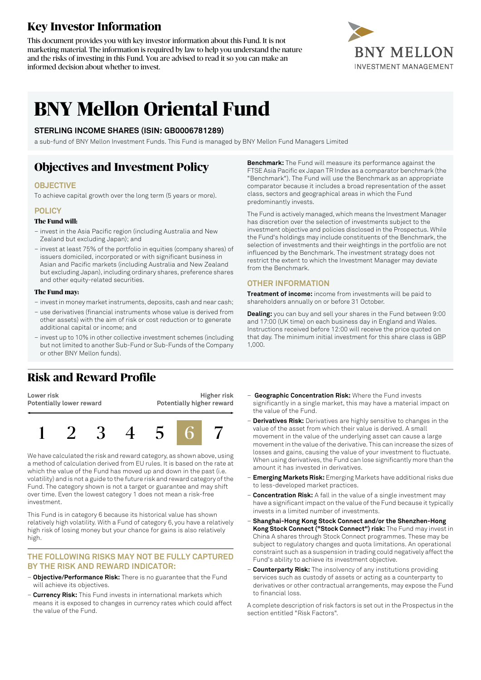## **Key Investor Information**

This document provides you with key investor information about this Fund. It is not marketing material. The information is required by law to help you understand the nature and the risks of investing in this Fund. You are advised to read it so you can make an informed decision about whether to invest.



# **BNY Mellon Oriental Fund**

#### **STERLING INCOME SHARES (ISIN: GB0006781289)**

a sub-fund of BNY Mellon Investment Funds. This Fund is managed by BNY Mellon Fund Managers Limited

### **Objectives and Investment Policy**

#### **OBJECTIVE**

To achieve capital growth over the long term (5 years or more).

#### **POLICY**

#### **The Fund will:**

- invest in the Asia Pacific region (including Australia and New Zealand but excluding Japan); and
- invest at least 75% of the portfolio in equities (company shares) of issuers domiciled, incorporated or with significant business in Asian and Pacific markets (including Australia and New Zealand but excluding Japan), including ordinary shares, preference shares and other equity-related securities.

#### **The Fund may:**

- investin money marketinstruments, deposits, cash and near cash;
- use derivatives (financial instruments whose value is derived from other assets) with the aim of risk or cost reduction or to generate additional capital or income; and
- invest up to 10% in other collective investment schemes (including but not limited to another Sub-Fund or Sub-Funds of the Company or other BNY Mellon funds).

### **Risk and Reward Profile**

**Lower risk Potentially lower reward**





We have calculated the risk and reward category, as shown above, using a method of calculation derived from EU rules. It is based on the rate at which the value of the Fund has moved up and down in the past (i.e. volatility) and is not a guide to the future risk and reward category of the Fund. The category shown is not a target or guarantee and may shift over time. Even the lowest category 1 does not mean a risk-free investment.

This Fund is in category 6 because its historical value has shown relatively high volatility. With a Fund of category 6, you have a relatively high risk of losing money but your chance for gains is also relatively high.

#### **THE FOLLOWING RISKS MAY NOT BE FULLY CAPTURED BY THE RISK AND REWARD INDICATOR:**

- **Objective/Performance Risk:** There is no guarantee that the Fund will achieve its objectives.
- **Currency Risk:** This Fund invests in international markets which means it is exposed to changes in currency rates which could affect the value of the Fund.

**Benchmark:** The Fund will measure its performance against the FTSE Asia Pacific ex Japan TR Index as a comparator benchmark (the "Benchmark"). The Fund will use the Benchmark as an appropriate comparator because it includes a broad representation of the asset class, sectors and geographical areas in which the Fund predominantly invests.

The Fund is actively managed, which means the Investment Manager has discretion over the selection of investments subject to the investment objective and policies disclosed in the Prospectus. While the Fund's holdings may include constituents of the Benchmark, the selection of investments and their weightings in the portfolio are not influenced by the Benchmark. The investment strategy does not restrict the extent to which the Investment Manager may deviate from the Benchmark.

#### **OTHER INFORMATION**

**Treatment of income:** income from investments will be paid to shareholders annually on or before 31 October.

**Dealing:** you can buy and sell your shares in the Fund between 9:00 and 17:00 (UK time) on each business day in England and Wales. Instructions received before 12:00 will receive the price quoted on that day. The minimum initial investment for this share class is GBP 1,000.

- **Geographic Concentration Risk:** Where the Fund invests significantly in a single market, this may have a material impact on the value of the Fund.
- **Derivatives Risk:** Derivatives are highly sensitive to changes in the value of the asset from which their value is derived. A small movement in the value of the underlying asset can cause a large movement in the value of the derivative. This can increase the sizes of losses and gains, causing the value of your investment to fluctuate. When using derivatives, the Fund can lose significantly more than the amount it has invested in derivatives.
- **Emerging Markets Risk:** Emerging Markets have additional risks due to less-developed market practices.
- **Concentration Risk:** A fall in the value of a single investment may have a significant impact on the value of the Fund because it typically invests in a limited number of investments.
- **Shanghai-Hong Kong Stock Connect and/or the Shenzhen-Hong Kong Stock Connect ("Stock Connect") risk:** The Fund may invest in China A shares through Stock Connect programmes. These may be subject to regulatory changes and quota limitations. An operational constraint such as a suspension in trading could negatively affect the Fund's ability to achieve its investment objective.
- **Counterparty Risk:** The insolvency of any institutions providing services such as custody of assets or acting as a counterparty to derivatives or other contractual arrangements, may expose the Fund to financial loss.

A complete description of risk factors is set out in the Prospectus in the section entitled "Risk Factors".